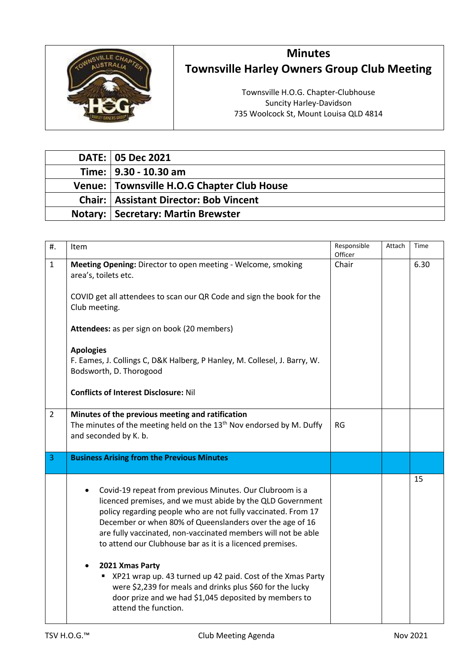

## **Minutes Townsville Harley Owners Group Club Meeting**

Townsville H.O.G. Chapter-Clubhouse Suncity Harley-Davidson 735 Woolcock St, Mount Louisa QLD 4814

| <b>DATE: 05 Dec 2021</b>                        |
|-------------------------------------------------|
| Time:   9.30 - 10.30 am                         |
| Venue: Townsville H.O.G Chapter Club House      |
| <b>Chair:   Assistant Director: Bob Vincent</b> |
| <b>Notary:   Secretary: Martin Brewster</b>     |

| #.             | Item                                                                                                                                                                                                                                                                                                                                                                                                                                                                                                                                                                                                             | Responsible<br>Officer | Attach | Time |
|----------------|------------------------------------------------------------------------------------------------------------------------------------------------------------------------------------------------------------------------------------------------------------------------------------------------------------------------------------------------------------------------------------------------------------------------------------------------------------------------------------------------------------------------------------------------------------------------------------------------------------------|------------------------|--------|------|
| $\mathbf{1}$   | Meeting Opening: Director to open meeting - Welcome, smoking<br>area's, toilets etc.<br>COVID get all attendees to scan our QR Code and sign the book for the<br>Club meeting.<br>Attendees: as per sign on book (20 members)<br><b>Apologies</b><br>F. Eames, J. Collings C, D&K Halberg, P Hanley, M. Collesel, J. Barry, W.<br>Bodsworth, D. Thorogood                                                                                                                                                                                                                                                        | Chair                  |        | 6.30 |
|                | <b>Conflicts of Interest Disclosure: Nil</b>                                                                                                                                                                                                                                                                                                                                                                                                                                                                                                                                                                     |                        |        |      |
| $\overline{2}$ | Minutes of the previous meeting and ratification<br>The minutes of the meeting held on the 13 <sup>th</sup> Nov endorsed by M. Duffy<br>and seconded by K. b.                                                                                                                                                                                                                                                                                                                                                                                                                                                    | <b>RG</b>              |        |      |
| 3              | <b>Business Arising from the Previous Minutes</b>                                                                                                                                                                                                                                                                                                                                                                                                                                                                                                                                                                |                        |        |      |
|                | Covid-19 repeat from previous Minutes. Our Clubroom is a<br>licenced premises, and we must abide by the QLD Government<br>policy regarding people who are not fully vaccinated. From 17<br>December or when 80% of Queenslanders over the age of 16<br>are fully vaccinated, non-vaccinated members will not be able<br>to attend our Clubhouse bar as it is a licenced premises.<br>2021 Xmas Party<br>XP21 wrap up. 43 turned up 42 paid. Cost of the Xmas Party<br>were \$2,239 for meals and drinks plus \$60 for the lucky<br>door prize and we had \$1,045 deposited by members to<br>attend the function. |                        |        | 15   |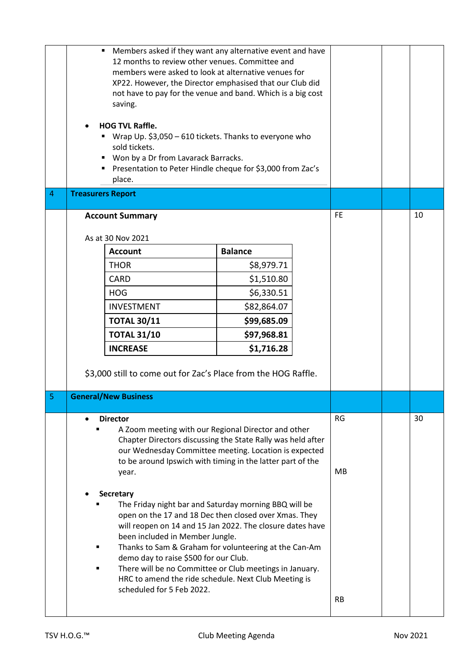|                | Members asked if they want any alternative event and have<br>٠<br>12 months to review other venues. Committee and<br>members were asked to look at alternative venues for<br>XP22. However, the Director emphasised that our Club did<br>not have to pay for the venue and band. Which is a big cost<br>saving.<br><b>HOG TVL Raffle.</b><br>■ Wrap Up. \$3,050 – 610 tickets. Thanks to everyone who<br>sold tickets.<br>" Won by a Dr from Lavarack Barracks.<br>■ Presentation to Peter Hindle cheque for \$3,000 from Zac's<br>place. |                |  |           |    |
|----------------|-------------------------------------------------------------------------------------------------------------------------------------------------------------------------------------------------------------------------------------------------------------------------------------------------------------------------------------------------------------------------------------------------------------------------------------------------------------------------------------------------------------------------------------------|----------------|--|-----------|----|
| $\overline{4}$ | <b>Treasurers Report</b>                                                                                                                                                                                                                                                                                                                                                                                                                                                                                                                  |                |  |           |    |
|                | <b>Account Summary</b>                                                                                                                                                                                                                                                                                                                                                                                                                                                                                                                    |                |  | <b>FE</b> | 10 |
|                | As at 30 Nov 2021                                                                                                                                                                                                                                                                                                                                                                                                                                                                                                                         |                |  |           |    |
|                | <b>Account</b>                                                                                                                                                                                                                                                                                                                                                                                                                                                                                                                            | <b>Balance</b> |  |           |    |
|                | <b>THOR</b>                                                                                                                                                                                                                                                                                                                                                                                                                                                                                                                               | \$8,979.71     |  |           |    |
|                | <b>CARD</b>                                                                                                                                                                                                                                                                                                                                                                                                                                                                                                                               | \$1,510.80     |  |           |    |
|                | <b>HOG</b>                                                                                                                                                                                                                                                                                                                                                                                                                                                                                                                                | \$6,330.51     |  |           |    |
|                | <b>INVESTMENT</b>                                                                                                                                                                                                                                                                                                                                                                                                                                                                                                                         | \$82,864.07    |  |           |    |
|                | <b>TOTAL 30/11</b>                                                                                                                                                                                                                                                                                                                                                                                                                                                                                                                        | \$99,685.09    |  |           |    |
|                | <b>TOTAL 31/10</b>                                                                                                                                                                                                                                                                                                                                                                                                                                                                                                                        | \$97,968.81    |  |           |    |
|                | <b>INCREASE</b>                                                                                                                                                                                                                                                                                                                                                                                                                                                                                                                           | \$1,716.28     |  |           |    |
|                | \$3,000 still to come out for Zac's Place from the HOG Raffle.                                                                                                                                                                                                                                                                                                                                                                                                                                                                            |                |  |           |    |
| $\overline{5}$ | <b>General/New Business</b>                                                                                                                                                                                                                                                                                                                                                                                                                                                                                                               |                |  |           |    |
|                | <b>Director</b>                                                                                                                                                                                                                                                                                                                                                                                                                                                                                                                           |                |  | <b>RG</b> | 30 |
|                | A Zoom meeting with our Regional Director and other<br>Chapter Directors discussing the State Rally was held after<br>our Wednesday Committee meeting. Location is expected<br>to be around Ipswich with timing in the latter part of the<br>year.                                                                                                                                                                                                                                                                                        |                |  | MB        |    |
|                | <b>Secretary</b><br>The Friday night bar and Saturday morning BBQ will be<br>open on the 17 and 18 Dec then closed over Xmas. They<br>will reopen on 14 and 15 Jan 2022. The closure dates have<br>been included in Member Jungle.<br>Thanks to Sam & Graham for volunteering at the Can-Am<br>demo day to raise \$500 for our Club.<br>There will be no Committee or Club meetings in January.<br>HRC to amend the ride schedule. Next Club Meeting is<br>scheduled for 5 Feb 2022.                                                      |                |  | <b>RB</b> |    |